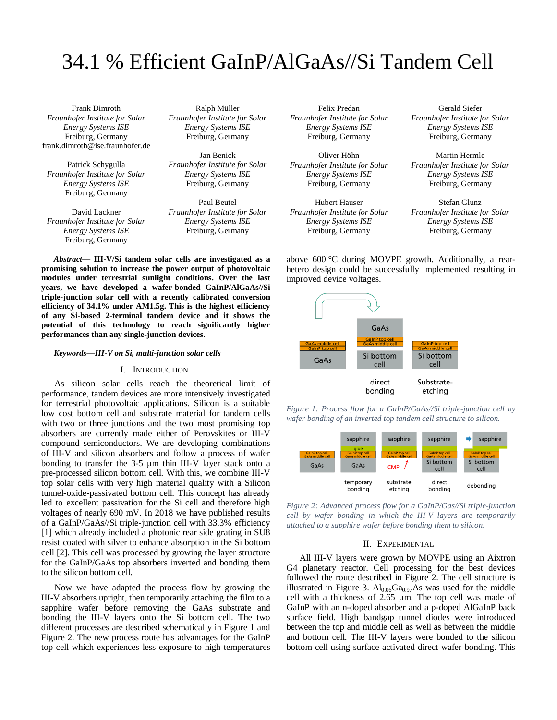# 34.1 % Efficient GaInP/AlGaAs//Si Tandem Cell

Frank Dimroth *Fraunhofer Institute for Solar Energy Systems ISE* Freiburg, Germany frank.dimroth@ise.fraunhofer.de

Patrick Schygulla *Fraunhofer Institute for Solar Energy Systems ISE* Freiburg, Germany

David Lackner *Fraunhofer Institute for Solar Energy Systems ISE* Freiburg, Germany

Ralph Müller *Fraunhofer Institute for Solar Energy Systems ISE* Freiburg, Germany

Jan Benick *Fraunhofer Institute for Solar Energy Systems ISE* Freiburg, Germany

Paul Beutel *Fraunhofer Institute for Solar Energy Systems ISE* Freiburg, Germany

*Abstract***— III-V/Si tandem solar cells are investigated as a promising solution to increase the power output of photovoltaic modules under terrestrial sunlight conditions. Over the last years, we have developed a wafer-bonded GaInP/AlGaAs//Si triple-junction solar cell with a recently calibrated conversion efficiency of 34.1% under AM1.5g. This is the highest efficiency of any Si-based 2-terminal tandem device and it shows the potential of this technology to reach significantly higher performances than any single-junction devices.**

#### *Keywords—III-V on Si, multi-junction solar cells*

#### I. INTRODUCTION

As silicon solar cells reach the theoretical limit of performance, tandem devices are more intensively investigated for terrestrial photovoltaic applications. Silicon is a suitable low cost bottom cell and substrate material for tandem cells with two or three junctions and the two most promising top absorbers are currently made either of Perovskites or III-V compound semiconductors. We are developing combinations of III-V and silicon absorbers and follow a process of wafer bonding to transfer the 3-5 µm thin III-V layer stack onto a pre-processed silicon bottom cell. With this, we combine III-V top solar cells with very high material quality with a Silicon tunnel-oxide-passivated bottom cell. This concept has already led to excellent passivation for the Si cell and therefore high voltages of nearly 690 mV. In 2018 we have published results of a GaInP/GaAs//Si triple-junction cell with 33.3% efficiency [1] which already included a photonic rear side grating in SU8 resist coated with silver to enhance absorption in the Si bottom cell [2]. This cell was processed by growing the layer structure for the GaInP/GaAs top absorbers inverted and bonding them to the silicon bottom cell.

Now we have adapted the process flow by growing the III-V absorbers upright, then temporarily attaching the film to a sapphire wafer before removing the GaAs substrate and bonding the III-V layers onto the Si bottom cell. The two different processes are described schematically in Figure 1 and Figure 2. The new process route has advantages for the GaInP top cell which experiences less exposure to high temperatures

Felix Predan *Fraunhofer Institute for Solar Energy Systems ISE* Freiburg, Germany

Oliver Höhn *Fraunhofer Institute for Solar Energy Systems ISE* Freiburg, Germany

Hubert Hauser *Fraunhofer Institute for Solar Energy Systems ISE* Freiburg, Germany

Gerald Siefer *Fraunhofer Institute for Solar Energy Systems ISE* Freiburg, Germany

Martin Hermle *Fraunhofer Institute for Solar Energy Systems ISE* Freiburg, Germany

Stefan Glunz *Fraunhofer Institute for Solar Energy Systems ISE* Freiburg, Germany

above 600 °C during MOVPE growth. Additionally, a rearhetero design could be successfully implemented resulting in improved device voltages.



*Figure 1: Process flow for a GaInP/GaAs//Si triple-junction cell by wafer bonding of an inverted top tandem cell structure to silicon.*



*Figure 2: Advanced process flow for a GaInP/Gas//Si triple-junction cell by wafer bonding in which the III-V layers are temporarily attached to a sapphire wafer before bonding them to silicon.*

### II. EXPERIMENTAL

All III-V layers were grown by MOVPE using an Aixtron G4 planetary reactor. Cell processing for the best devices followed the route described in Figure 2. The cell structure is illustrated in Figure 3.  $Al_{0.06}Ga_{0.97}As$  was used for the middle cell with a thickness of 2.65 µm. The top cell was made of GaInP with an n-doped absorber and a p-doped AlGaInP back surface field. High bandgap tunnel diodes were introduced between the top and middle cell as well as between the middle and bottom cell. The III-V layers were bonded to the silicon bottom cell using surface activated direct wafer bonding. This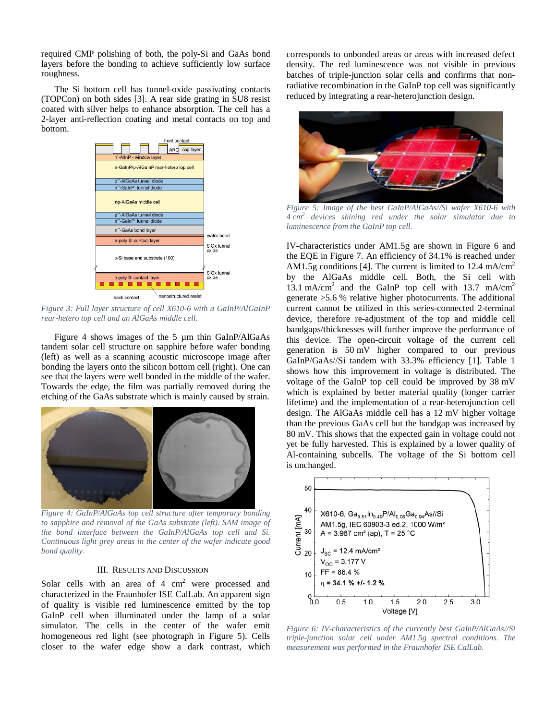required CMP polishing of both, the poly-Si and GaAs bond layers before the bonding to achieve sufficiently low surface roughness.

The Si bottom cell has tunnel-oxide passivating contacts (TOPCon) on both sides [3]. A rear side grating in SU8 resist coated with silver helps to enhance absorption. The cell has a 2-layer anti-reflection coating and metal contacts on top and bottom.



*Figure 3: Full layer structure of cell X610-6 with a GaInP/AlGaInP rear-hetero top cell and an AlGaAs middle cell.*

Figure 4 shows images of the 5 µm thin GaInP/AlGaAs tandem solar cell structure on sapphire before wafer bonding (left) as well as a scanning acoustic microscope image after bonding the layers onto the silicon bottom cell (right). One can see that the layers were well bonded in the middle of the wafer. Towards the edge, the film was partially removed during the etching of the GaAs substrate which is mainly caused by strain.



*Figure 4: GaInP/AlGaAs top cell structure after temporary bonding to sapphire and removal of the GaAs substrate (left). SAM image of the bond interface between the GaInP/AlGaAs top cell and Si. Continuous light grey areas in the center of the wafer indicate good bond quality.*

# III. RESULTS AND DISCUSSION

Solar cells with an area of  $4 \text{ cm}^2$  were processed and characterized in the Fraunhofer ISE CalLab. An apparent sign of quality is visible red luminescence emitted by the top GaInP cell when illuminated under the lamp of a solar simulator. The cells in the center of the wafer emit homogeneous red light (see photograph in Figure 5). Cells closer to the wafer edge show a dark contrast, which

corresponds to unbonded areas or areas with increased defect density. The red luminescence was not visible in previous batches of triple-junction solar cells and confirms that nonradiative recombination in the GaInP top cell was significantly reduced by integrating a rear-heterojunction design.



*Figure 5: Image of the best GaInP/AlGaAs//Si wafer X610-6 with 4 cm2 devices shining red under the solar simulator due to luminescence from the GaInP top cell.*

IV-characteristics under AM1.5g are shown in Figure 6 and the EQE in Figure 7. An efficiency of 34.1% is reached under AM1.5g conditions [4]. The current is limited to 12.4 mA/cm<sup>2</sup> by the AlGaAs middle cell. Both, the Si cell with 13.1 mA/cm<sup>2</sup> and the GaInP top cell with 13.7 mA/cm<sup>2</sup> generate >5.6 % relative higher photocurrents. The additional current cannot be utilized in this series-connected 2-terminal device, therefore re-adjustment of the top and middle cell bandgaps/thicknesses will further improve the performance of this device. The open-circuit voltage of the current cell generation is 50 mV higher compared to our previous GaInP/GaAs//Si tandem with 33.3% efficiency [1]. Table 1 shows how this improvement in voltage is distributed. The voltage of the GaInP top cell could be improved by 38 mV which is explained by better material quality (longer carrier lifetime) and the implementation of a rear-heterojunction cell design. The AlGaAs middle cell has a 12 mV higher voltage than the previous GaAs cell but the bandgap was increased by 80 mV. This shows that the expected gain in voltage could not yet be fully harvested. This is explained by a lower quality of Al-containing subcells. The voltage of the Si bottom cell is unchanged.



*Figure 6: IV-characteristics of the currently best GaInP/AlGaAs//Si triple-junction solar cell under AM1.5g spectral conditions. The measurement was performed in the Fraunhofer ISE CalLab.*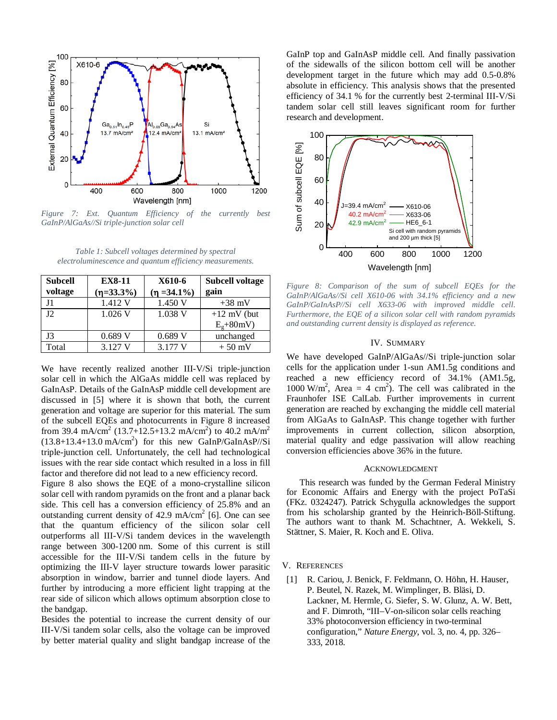

*Figure 7: Ext. Quantum Efficiency of the currently best GaInP/AlGaAs//Si triple-junction solar cell*

*Table 1: Subcell voltages determined by spectral electroluminescence and quantum efficiency measurements.*

| <b>Subcell</b> | <b>EX8-11</b> | X610-6         | <b>Subcell voltage</b> |
|----------------|---------------|----------------|------------------------|
| voltage        | $(n=33.3\%)$  | $(n = 34.1\%)$ | gain                   |
|                | 1.412 V       | 1.450 V        | $+38$ mV               |
| 12             | $1.026$ V     | 1.038 V        | $+12$ mV (but          |
|                |               |                | $E_g + 80mV$           |
| J3             | 0.689V        | 0.689V         | unchanged              |
| Total          | 3.127 V       | 3.177 V        | $+50$ mV               |

We have recently realized another III-V/Si triple-junction solar cell in which the AlGaAs middle cell was replaced by GaInAsP. Details of the GaInAsP middle cell development are discussed in [5] where it is shown that both, the current generation and voltage are superior for this material. The sum of the subcell EQEs and photocurrents in Figure 8 increased from 39.4 mA/cm<sup>2</sup> (13.7+12.5+13.2 mA/cm<sup>2</sup>) to 40.2 mA/m<sup>2</sup>  $(13.8+13.4+13.0 \text{ mA/cm}^2)$  for this new GaInP/GaInAsP//Si triple-junction cell. Unfortunately, the cell had technological issues with the rear side contact which resulted in a loss in fill factor and therefore did not lead to a new efficiency record.

Figure 8 also shows the EQE of a mono-crystalline silicon solar cell with random pyramids on the front and a planar back side. This cell has a conversion efficiency of 25.8% and an outstanding current density of  $42.9 \text{ mA/cm}^2$  [6]. One can see that the quantum efficiency of the silicon solar cell outperforms all III-V/Si tandem devices in the wavelength range between 300-1200 nm. Some of this current is still accessible for the III-V/Si tandem cells in the future by optimizing the III-V layer structure towards lower parasitic absorption in window, barrier and tunnel diode layers. And further by introducing a more efficient light trapping at the rear side of silicon which allows optimum absorption close to the bandgap.

Besides the potential to increase the current density of our III-V/Si tandem solar cells, also the voltage can be improved by better material quality and slight bandgap increase of the GaInP top and GaInAsP middle cell. And finally passivation of the sidewalls of the silicon bottom cell will be another development target in the future which may add 0.5-0.8% absolute in efficiency. This analysis shows that the presented efficiency of 34.1 % for the currently best 2-terminal III-V/Si tandem solar cell still leaves significant room for further research and development.



*Figure 8: Comparison of the sum of subcell EQEs for the GaInP/AlGaAs//Si cell X610-06 with 34.1% efficiency and a new GaInP/GaInAsP//Si cell X633-06 with improved middle cell. Furthermore, the EQE of a silicon solar cell with random pyramids and outstanding current density is displayed as reference.*

## IV. SUMMARY

We have developed GaInP/AlGaAs//Si triple-junction solar cells for the application under 1-sun AM1.5g conditions and reached a new efficiency record of 34.1% (AM1.5g, 1000 W/m<sup>2</sup>, Area = 4 cm<sup>2</sup>). The cell was calibrated in the Fraunhofer ISE CalLab. Further improvements in current generation are reached by exchanging the middle cell material from AlGaAs to GaInAsP. This change together with further improvements in current collection, silicon absorption, material quality and edge passivation will allow reaching conversion efficiencies above 36% in the future.

#### ACKNOWLEDGMENT

This research was funded by the German Federal Ministry for Economic Affairs and Energy with the project PoTaSi (FKz. 0324247). Patrick Schygulla acknowledges the support from his scholarship granted by the Heinrich-Böll-Stiftung. The authors want to thank M. Schachtner, A. Wekkeli, S. Stättner, S. Maier, R. Koch and E. Oliva.

V. REFERENCES

[1] R. Cariou, J. Benick, F. Feldmann, O. Höhn, H. Hauser, P. Beutel, N. Razek, M. Wimplinger, B. Bläsi, D. Lackner, M. Hermle, G. Siefer, S. W. Glunz, A. W. Bett, and F. Dimroth, "III–V-on-silicon solar cells reaching 33% photoconversion efficiency in two-terminal configuration," *Nature Energy*, vol. 3, no. 4, pp. 326– 333, 2018.